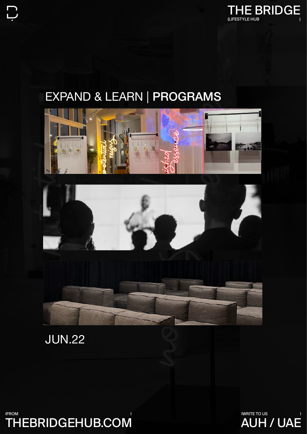## EXPAND & LEARN | PROGRAMS







## JUN.22

 $\overline{C}$ 



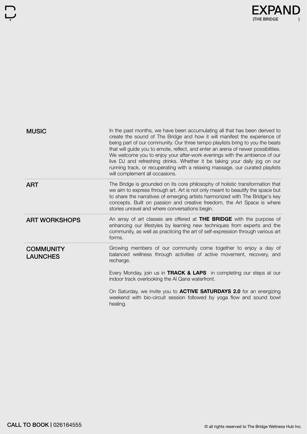

| <b>MUSIC</b>                        | In the past months, we have been accumulating all that has been derived to<br>create the sound of The Bridge and how it will manifest the experience of<br>being part of our community. Our three tempo playlists bring to you the beats<br>that will guide you to emote, reflect, and enter an arena of newer possibilities.<br>We welcome you to enjoy your after-work evenings with the ambience of our<br>live DJ and refreshing drinks. Whether it be taking your daily jog on our<br>running track, or recuperating with a relaxing massage, our curated playlists<br>will complement all occasions. |
|-------------------------------------|------------------------------------------------------------------------------------------------------------------------------------------------------------------------------------------------------------------------------------------------------------------------------------------------------------------------------------------------------------------------------------------------------------------------------------------------------------------------------------------------------------------------------------------------------------------------------------------------------------|
| <b>ART</b>                          | The Bridge is grounded on its core philosophy of holistic transformation that<br>we aim to express through art. Art is not only meant to beautify the space but<br>to share the narratives of emerging artists harmonized with The Bridge's key<br>concepts. Built on passion and creative freedom, the Art Space is where<br>stories unravel and where conversations begin.                                                                                                                                                                                                                               |
| <b>ART WORKSHOPS</b>                | An array of art classes are offered at THE BRIDGE with the purpose of<br>enhancing our lifestyles by learning new techniques from experts and the<br>community, as well as practicing the art of self-expression through various art<br>forms.                                                                                                                                                                                                                                                                                                                                                             |
| <b>COMMUNITY</b><br><b>LAUNCHES</b> | Growing members of our community come together to enjoy a day of<br>balanced wellness through activities of active movement, recovery, and<br>recharge.                                                                                                                                                                                                                                                                                                                                                                                                                                                    |
|                                     | Every Monday, join us in TRACK & LAPS in completing our steps at our<br>indoor track overlooking the AI Qana waterfront.                                                                                                                                                                                                                                                                                                                                                                                                                                                                                   |
|                                     | On Saturday, we invite you to <b>ACTIVE SATURDAYS 2.0</b> for an energizing<br>weekend with bio-circuit session followed by yoga flow and sound bowl<br>healing.                                                                                                                                                                                                                                                                                                                                                                                                                                           |

 $\overline{C}$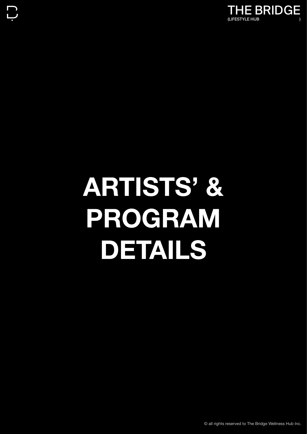

## **ARTISTS' & PROGRAM DETAILS**

 $\Box$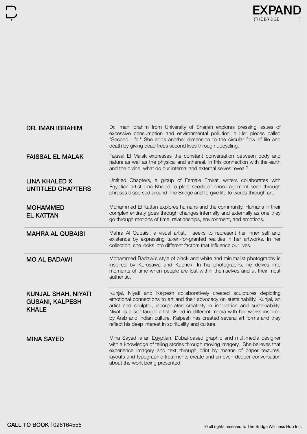

| <b>DR. IMAN IBRAHIM</b>                                              | Dr. Iman Ibrahim from University of Sharjah explores pressing issues of<br>excessive consumption and environmental pollution in Her pieces called<br>"Second Life." She adds another dimension to the circular flow of life and<br>death by giving dead trees second lives through upcycling.                                                                                                                                                                           |
|----------------------------------------------------------------------|-------------------------------------------------------------------------------------------------------------------------------------------------------------------------------------------------------------------------------------------------------------------------------------------------------------------------------------------------------------------------------------------------------------------------------------------------------------------------|
| <b>FAISSAL EL MALAK</b>                                              | Faissal El Malak expresses the constant conversation between body and<br>nature as well as the physical and ethereal. In this connection with the earth<br>and the divine, what do our internal and external selves reveal?                                                                                                                                                                                                                                             |
| <b>LINA KHALED X</b><br><b>UNTITLED CHAPTERS</b>                     | Untitled Chapters, a group of Female Emirati writers collaborates with<br>Egyptian artist Lina Khaled to plant seeds of encouragement seen through<br>phrases dispersed around The Bridge and to give life to words through art.                                                                                                                                                                                                                                        |
| <b>MOHAMMED</b><br><b>EL KATTAN</b>                                  | Mohammed El Kattan explores humans and the community. Humans in their<br>complex entirety goes through changes internally and externally as one they<br>go through motions of time, relationships, environment, and emotions.                                                                                                                                                                                                                                           |
| <b>MAHRA AL QUBAISI</b>                                              | Mahra Al Qubaisi, a visual artist, seeks to represent her inner self and<br>existence by expressing taken-for-granted realities in her artworks. In her<br>collection, she looks into different factors that influence our lives.                                                                                                                                                                                                                                       |
| <b>MO AL BADAWI</b>                                                  | Mohammed Badawi's style of black and white and minimalist photography is<br>inspired by Kurosawa and Kubrick. In his photographs, he delves into<br>moments of time when people are lost within themselves and at their most<br>authentic.                                                                                                                                                                                                                              |
| <b>KUNJAL SHAH, NIYATI</b><br><b>GUSANI, KALPESH</b><br><b>KHALE</b> | Kunjal, Niyati and Kalpesh collaboratively created sculptures depicting<br>emotional connections to art and their advocacy on sustainability. Kunjal, an<br>artist and sculptor, incorporates creativity in innovation and sustainability.<br>Niyati is a self-taught artist skilled in different media with her works inspired<br>by Arab and Indian culture. Kalpesh has created several art forms and they<br>reflect his deep interest in spirituality and culture. |
| <b>MINA SAYED</b>                                                    | Mina Sayed is an Egyptian, Dubai-based graphic and multimedia designer<br>with a knowledge of telling stories through moving imagery. She believes that<br>experience imagery and text through print by means of paper textures,<br>layouts and typographic treatments create and an even deeper conversation<br>about the work being presented.                                                                                                                        |

 $\Box$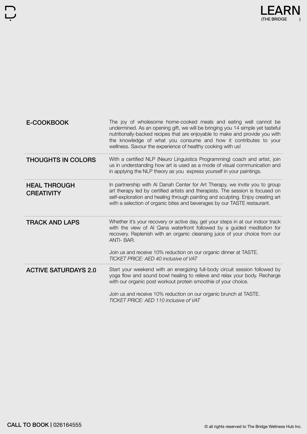

| E-COOKBOOK                               | The joy of wholesome home-cooked meals and eating well cannot be<br>undermined. As an opening gift, we will be bringing you 14 simple yet tasteful<br>nutritionally-backed recipes that are enjoyable to make and provide you with<br>the knowledge of what you consume and how it contributes to your<br>wellness. Savour the experience of healthy cooking with us! |
|------------------------------------------|-----------------------------------------------------------------------------------------------------------------------------------------------------------------------------------------------------------------------------------------------------------------------------------------------------------------------------------------------------------------------|
| <b>THOUGHTS IN COLORS</b>                | With a certified NLP (Neuro Linguistics Programming) coach and artist, join<br>us in understanding how art is used as a mode of visual communication and<br>in applying the NLP theory as you express yourself in your paintings.                                                                                                                                     |
| <b>HEAL THROUGH</b><br><b>CREATIVITY</b> | In partnership with AI Danah Center for Art Therapy, we invite you to group<br>art therapy led by certified artists and therapists. The session is focused on<br>self-exploration and healing through painting and sculpting. Enjoy creating art<br>with a selection of organic bites and beverages by our TASTE restaurant.                                          |
| <b>TRACK AND LAPS</b>                    | Whether it's your recovery or active day, get your steps in at our indoor track<br>with the view of AI Qana waterfront followed by a guided meditation for<br>recovery. Replenish with an organic cleansing juice of your choice from our<br>ANTI-BAR.<br>Join us and receive 10% reduction on our organic dinner at TASTE.                                           |
|                                          | TICKET PRICE: AED 40 inclusive of VAT                                                                                                                                                                                                                                                                                                                                 |
| <b>ACTIVE SATURDAYS 2.0</b>              | Start your weekend with an energizing full-body circuit session followed by<br>yoga flow and sound bowl healing to relieve and relax your body. Recharge<br>with our organic post workout protein smoothie of your choice.                                                                                                                                            |
|                                          | Join us and receive 10% reduction on our organic brunch at TASTE.<br>TICKET PRICE: AED 110 inclusive of VAT                                                                                                                                                                                                                                                           |

 $\overline{C}$